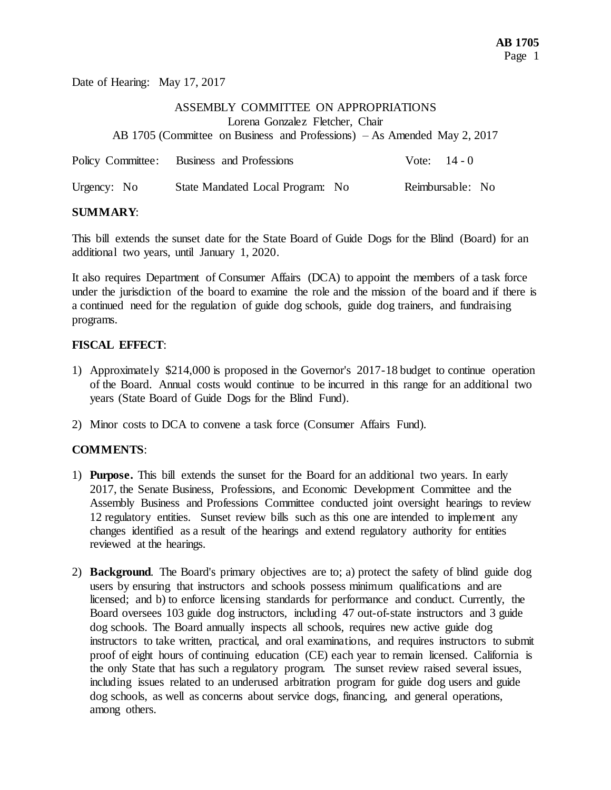Date of Hearing: May 17, 2017

## ASSEMBLY COMMITTEE ON APPROPRIATIONS Lorena Gonzalez Fletcher, Chair AB 1705 (Committee on Business and Professions) – As Amended May 2, 2017

|             | Policy Committee: Business and Professions | Vote: $14 - 0$   |
|-------------|--------------------------------------------|------------------|
| Urgency: No | State Mandated Local Program: No           | Reimbursable: No |

## **SUMMARY**:

This bill extends the sunset date for the State Board of Guide Dogs for the Blind (Board) for an additional two years, until January 1, 2020.

It also requires Department of Consumer Affairs (DCA) to appoint the members of a task force under the jurisdiction of the board to examine the role and the mission of the board and if there is a continued need for the regulation of guide dog schools, guide dog trainers, and fundraising programs.

## **FISCAL EFFECT**:

- 1) Approximately \$214,000 is proposed in the Governor's 2017-18 budget to continue operation of the Board. Annual costs would continue to be incurred in this range for an additional two years (State Board of Guide Dogs for the Blind Fund).
- 2) Minor costs to DCA to convene a task force (Consumer Affairs Fund).

## **COMMENTS**:

- 1) **Purpose.** This bill extends the sunset for the Board for an additional two years. In early 2017, the Senate Business, Professions, and Economic Development Committee and the Assembly Business and Professions Committee conducted joint oversight hearings to review 12 regulatory entities. Sunset review bills such as this one are intended to implement any changes identified as a result of the hearings and extend regulatory authority for entities reviewed at the hearings.
- 2) **Background**. The Board's primary objectives are to; a) protect the safety of blind guide dog users by ensuring that instructors and schools possess minimum qualifications and are licensed; and b) to enforce licensing standards for performance and conduct. Currently, the Board oversees 103 guide dog instructors, including 47 out-of-state instructors and 3 guide dog schools. The Board annually inspects all schools, requires new active guide dog instructors to take written, practical, and oral examinations, and requires instructors to submit proof of eight hours of continuing education (CE) each year to remain licensed. California is the only State that has such a regulatory program. The sunset review raised several issues, including issues related to an underused arbitration program for guide dog users and guide dog schools, as well as concerns about service dogs, financing, and general operations, among others.